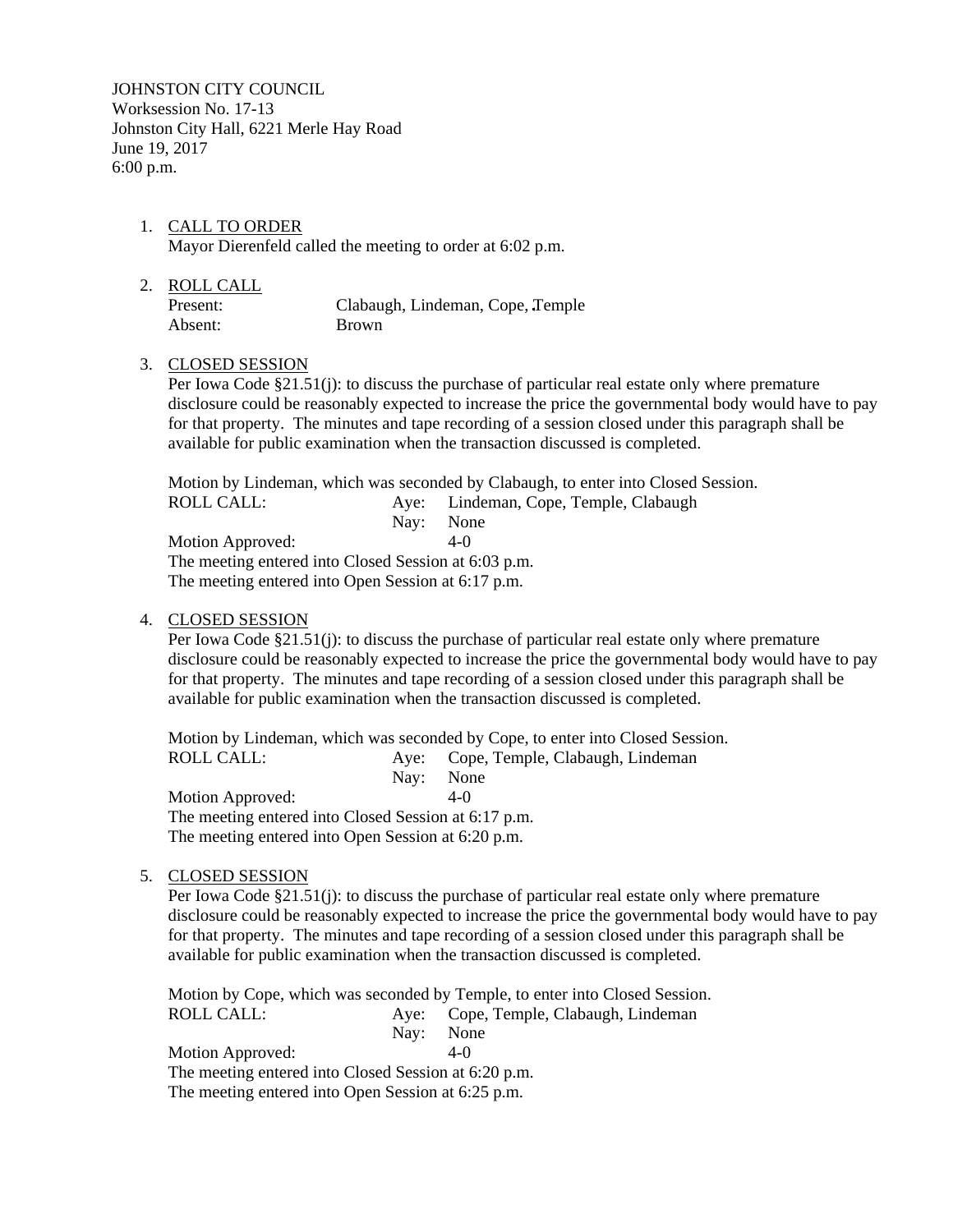JOHNSTON CITY COUNCIL Worksession No. 17-13 Johnston City Hall, 6221 Merle Hay Road June 19, 2017 6:00 p.m.

- 1. CALL TO ORDER Mayor Dierenfeld called the meeting to order at 6:02 p.m.
- 2. ROLL CALL Present: Clabaugh, Lindeman, Cope, Temple Absent: Brown

### 3. CLOSED SESSION

Per Iowa Code §21.51(j): to discuss the purchase of particular real estate only where premature disclosure could be reasonably expected to increase the price the governmental body would have to pay for that property. The minutes and tape recording of a session closed under this paragraph shall be available for public examination when the transaction discussed is completed.

Motion by Lindeman, which was seconded by Clabaugh, to enter into Closed Session. ROLL CALL: Aye: Lindeman, Cope, Temple, Clabaugh Nay: None Motion Approved: 4-0 The meeting entered into Closed Session at 6:03 p.m. The meeting entered into Open Session at 6:17 p.m.

#### 4. CLOSED SESSION

Per Iowa Code §21.51(j): to discuss the purchase of particular real estate only where premature disclosure could be reasonably expected to increase the price the governmental body would have to pay for that property. The minutes and tape recording of a session closed under this paragraph shall be available for public examination when the transaction discussed is completed.

Motion by Lindeman, which was seconded by Cope, to enter into Closed Session.<br>ROLL CALL: Aye: Cope, Temple, Clabaugh, Lindeman Aye: Cope, Temple, Clabaugh, Lindeman Nay: None Motion Approved: 4-0 The meeting entered into Closed Session at 6:17 p.m. The meeting entered into Open Session at 6:20 p.m.

# 5. CLOSED SESSION

Per Iowa Code §21.51(j): to discuss the purchase of particular real estate only where premature disclosure could be reasonably expected to increase the price the governmental body would have to pay for that property. The minutes and tape recording of a session closed under this paragraph shall be available for public examination when the transaction discussed is completed.

Motion by Cope, which was seconded by Temple, to enter into Closed Session. ROLL CALL: Aye: Cope, Temple, Clabaugh, Lindeman Nay: None Motion Approved: 4-0 The meeting entered into Closed Session at 6:20 p.m. The meeting entered into Open Session at 6:25 p.m.